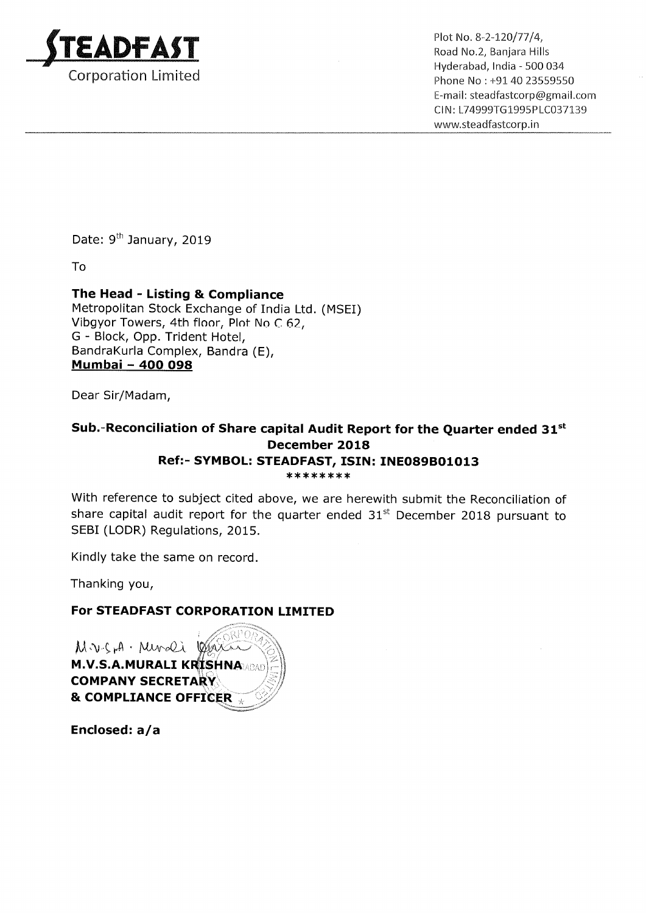

, Hyderabad, India — 500 034 Phone No : +91 40 23559550 E—mail: steadfastcorp@gmail.com ClN: L74999T61995PLC037139 www.5teadfastcorp.in

Date: 9<sup>th</sup> January, 2019

To

## The Head - Listing & Compliance

Metropolitan Stock Exchange of India Ltd. (MSEI) Vibgyor Towers, 4th floor, Plot No <sup>C</sup> 62, G — Block, Opp. Trident Hotel, BandraKurla Complex, Bandra (E), <u>Dandrakuna Comple</u><br><u>Mumbai – 400 098</u>

Dear Sir/Madam,

## Sub.-Reconciliation of Share capital Audit Report for the Quarter ended  $31^{st}$ December 2018 Ref:- SYMBOL: STEADFAST, ISIN: INE089B01013 \*\*\*\*\*\*\*\*

With reference to subject cited above, we are herewith submit the Reconciliation of share capital audit report for the quarter ended  $31<sup>st</sup>$  December 2018 pursuant to SEBI (LODR) Regulations, 2015.

Kindly take the same on record.

Thanking you,

## For STEADFAST CORPORATION LIMITED

 $M \vee S$ H ' Munder M.V.S.A.MURALI KRISHNA **COMPANY SECRETARY** & COMPLIANCE OFFICER

Enclosed: a/a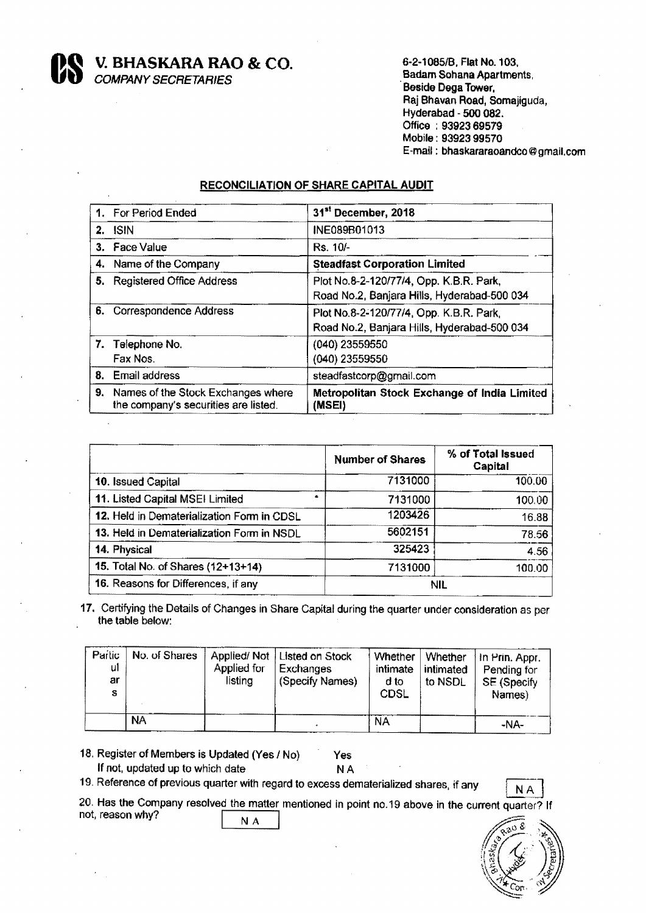V. BHASKARA RAO & CO.

COMPANY SECRETARIES

6-2-1085lB. Flat No. 103. .Badam Sohana Apartments. Beside Dega Tower. Raj Bhavan Road, Somajiguda, Hyderabad - 500 082. Office : 9392369579 Mobile : 93923 99570 E-mail : bhaskararaoandco @ gmail.com

## RECONCILIATION OF SHARE CAPITAL AUDIT

| 1. For Period Ended                                                           | 31 <sup>st</sup> December, 2018                                                        |
|-------------------------------------------------------------------------------|----------------------------------------------------------------------------------------|
| $2.$ ISIN                                                                     | INE089B01013                                                                           |
| 3. Face Value                                                                 | Rs. 10/-                                                                               |
| 4. Name of the Company                                                        | <b>Steadfast Corporation Limited</b>                                                   |
| 5. Registered Office Address                                                  | Plot No.8-2-120/77/4, Opp. K.B.R. Park,<br>Road No.2, Banjara Hills, Hyderabad-500 034 |
| 6. Correspondence Address                                                     | Plot No.8-2-120/77/4, Opp. K.B.R. Park,<br>Road No.2, Banjara Hills, Hyderabad-500 034 |
| 7. Telephone No.<br>Fax Nos.                                                  | (040) 23559550<br>(040) 23559550                                                       |
| 8. Email address                                                              | steadfastcorp@gmail.com                                                                |
| 9. Names of the Stock Exchanges where<br>the company's securities are listed. | Metropolitan Stock Exchange of India Limited<br>(MSEI)                                 |

|                                            | <b>Number of Shares</b> | % of Total Issued<br>Capital |
|--------------------------------------------|-------------------------|------------------------------|
| 10. Issued Capital                         | 7131000                 | 100.00                       |
| 11. Listed Capital MSEI Limited<br>۰       | 7131000                 | 100.00                       |
| 12. Held in Dematerialization Form in CDSL | 1203426                 | 16.88                        |
| 13. Held in Dematerialization Form in NSDL | 5602151                 | 78.56                        |
| 14. Physical                               | 325423                  | 4.56                         |
| 15. Total No. of Shares (12+13+14)         | 7131000                 | 100.00                       |
| 16. Reasons for Differences, if any        | <b>NIL</b>              |                              |

17. Certifying the Details of Changes in Share Capital during the quarter under consideration as per the table below:

| Partic<br>ul<br>ar<br>s | No. of Shares | Applied/Not<br>Applied for<br>listina | Listed on Stock<br>Exchanges<br>(Specify Names) | Whether<br>intimate<br>d to<br><b>CDSL</b> | Whether<br>intimated<br>to NSDL | Hn Prin. Appr.<br>Pending for<br>SE (Specify<br>Names) |
|-------------------------|---------------|---------------------------------------|-------------------------------------------------|--------------------------------------------|---------------------------------|--------------------------------------------------------|
|                         | <b>NA</b>     |                                       |                                                 | <b>NA</b>                                  |                                 | -NA-                                                   |

18. Register of Members is Updated (Yes / No) Yes<br>If not, updated up to which date NA

If not, updated up to which date

19. Reference of previous quarter with regard to excess dematerialized shares, if any  $N A$ 



20. Has the Company resolved the matter mentioned in point no.19 above in the current quarter? It not, reason why? N A

 $\sqrt{2}$  $\mathcal{A}$  $\mathbb{Z}$